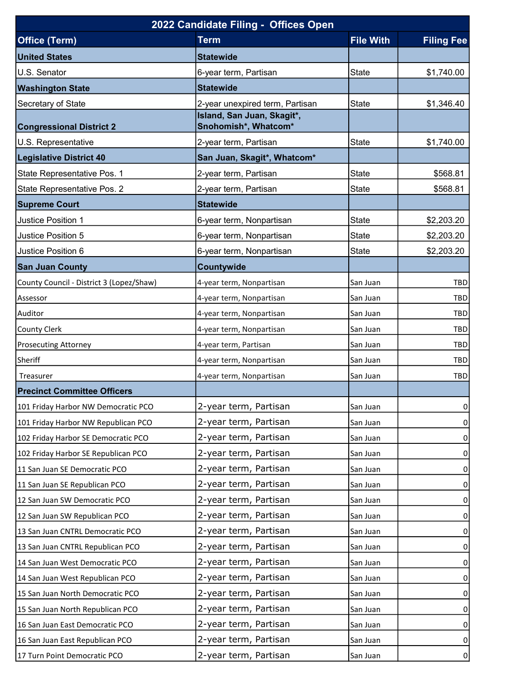| 2022 Candidate Filing - Offices Open     |                                 |                  |                   |  |  |  |
|------------------------------------------|---------------------------------|------------------|-------------------|--|--|--|
| <b>Office (Term)</b>                     | <b>Term</b>                     | <b>File With</b> | <b>Filing Fee</b> |  |  |  |
| <b>United States</b>                     | <b>Statewide</b>                |                  |                   |  |  |  |
| U.S. Senator                             | 6-year term, Partisan           | <b>State</b>     | \$1,740.00        |  |  |  |
| <b>Washington State</b>                  | <b>Statewide</b>                |                  |                   |  |  |  |
| Secretary of State                       | 2-year unexpired term, Partisan | <b>State</b>     | \$1,346.40        |  |  |  |
|                                          | Island, San Juan, Skagit*,      |                  |                   |  |  |  |
| <b>Congressional District 2</b>          | Snohomish*, Whatcom*            |                  |                   |  |  |  |
| U.S. Representative                      | 2-year term, Partisan           | <b>State</b>     | \$1,740.00        |  |  |  |
| <b>Legislative District 40</b>           | San Juan, Skagit*, Whatcom*     |                  |                   |  |  |  |
| State Representative Pos. 1              | 2-year term, Partisan           | <b>State</b>     | \$568.81          |  |  |  |
| State Representative Pos. 2              | 2-year term, Partisan           | <b>State</b>     | \$568.81          |  |  |  |
| <b>Supreme Court</b>                     | <b>Statewide</b>                |                  |                   |  |  |  |
| Justice Position 1                       | 6-year term, Nonpartisan        | <b>State</b>     | \$2,203.20        |  |  |  |
| Justice Position 5                       | 6-year term, Nonpartisan        | <b>State</b>     | \$2,203.20        |  |  |  |
| Justice Position 6                       | 6-year term, Nonpartisan        | <b>State</b>     | \$2,203.20        |  |  |  |
| <b>San Juan County</b>                   | Countywide                      |                  |                   |  |  |  |
| County Council - District 3 (Lopez/Shaw) | 4-year term, Nonpartisan        | San Juan         | <b>TBD</b>        |  |  |  |
| Assessor                                 | 4-year term, Nonpartisan        | San Juan         | <b>TBD</b>        |  |  |  |
| Auditor                                  | 4-year term, Nonpartisan        | San Juan         | <b>TBD</b>        |  |  |  |
| <b>County Clerk</b>                      | 4-year term, Nonpartisan        | San Juan         | <b>TBD</b>        |  |  |  |
| <b>Prosecuting Attorney</b>              | 4-year term, Partisan           | San Juan         | <b>TBD</b>        |  |  |  |
| Sheriff                                  | 4-year term, Nonpartisan        | San Juan         | TBD               |  |  |  |
| Treasurer                                | 4-year term, Nonpartisan        | San Juan         | <b>TBD</b>        |  |  |  |
| <b>Precinct Committee Officers</b>       |                                 |                  |                   |  |  |  |
| 101 Friday Harbor NW Democratic PCO      | 2-year term, Partisan           | San Juan         | 0                 |  |  |  |
| 101 Friday Harbor NW Republican PCO      | 2-year term, Partisan           | San Juan         | $\Omega$          |  |  |  |
| 102 Friday Harbor SE Democratic PCO      | 2-year term, Partisan           | San Juan         | $\Omega$          |  |  |  |
| 102 Friday Harbor SE Republican PCO      | 2-year term, Partisan           | San Juan         | $\overline{0}$    |  |  |  |
| 11 San Juan SE Democratic PCO            | 2-year term, Partisan           | San Juan         | $\overline{0}$    |  |  |  |
| 11 San Juan SE Republican PCO            | 2-year term, Partisan           | San Juan         | $\overline{0}$    |  |  |  |
| 12 San Juan SW Democratic PCO            | 2-year term, Partisan           | San Juan         | 0                 |  |  |  |
| 12 San Juan SW Republican PCO            | 2-year term, Partisan           | San Juan         | $\overline{0}$    |  |  |  |
| 13 San Juan CNTRL Democratic PCO         | 2-year term, Partisan           | San Juan         | 0                 |  |  |  |
| 13 San Juan CNTRL Republican PCO         | 2-year term, Partisan           | San Juan         | $\overline{0}$    |  |  |  |
| 14 San Juan West Democratic PCO          | 2-year term, Partisan           | San Juan         | $\Omega$          |  |  |  |
| 14 San Juan West Republican PCO          | 2-year term, Partisan           | San Juan         | $\overline{0}$    |  |  |  |
| 15 San Juan North Democratic PCO         | 2-year term, Partisan           | San Juan         | $\Omega$          |  |  |  |
| 15 San Juan North Republican PCO         | 2-year term, Partisan           | San Juan         | $\overline{0}$    |  |  |  |
| 16 San Juan East Democratic PCO          | 2-year term, Partisan           | San Juan         | 0                 |  |  |  |
| 16 San Juan East Republican PCO          | 2-year term, Partisan           | San Juan         | $\overline{0}$    |  |  |  |
| 17 Turn Point Democratic PCO             | 2-year term, Partisan           | San Juan         | 0                 |  |  |  |